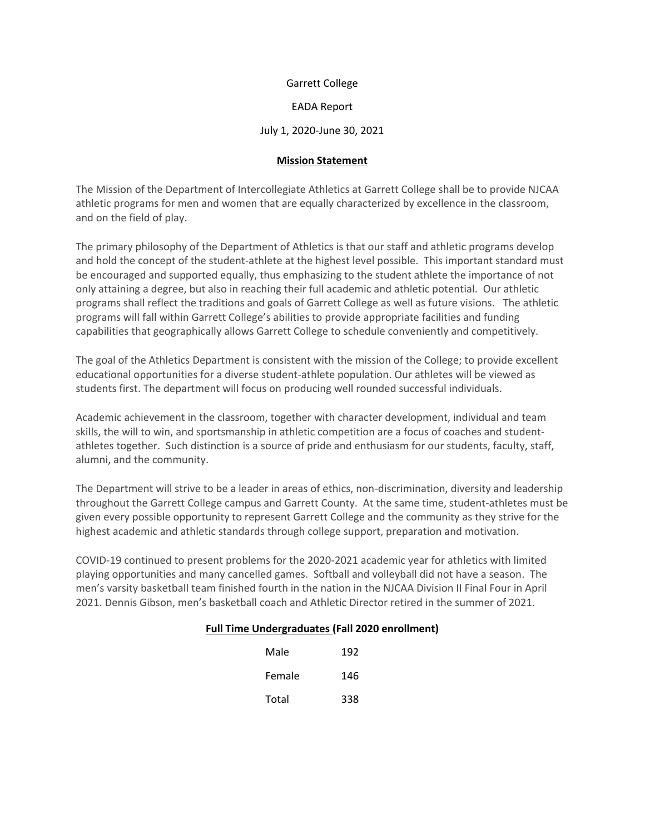Garrett College

EADA Report

### July 1, 2020-June 30, 2021

#### **Mission Statement**

The Mission of the Department of Intercollegiate Athletics at Garrett College shall be to provide NJCAA athletic programs for men and women that are equally characterized by excellence in the classroom, and on the field of play.

The primary philosophy of the Department of Athletics is that our staff and athletic programs develop and hold the concept of the student-athlete at the highest level possible. This important standard must be encouraged and supported equally, thus emphasizing to the student athlete the importance of not only attaining a degree, but also in reaching their full academic and athletic potential. Our athletic programs shall reflect the traditions and goals of Garrett College as well as future visions. The athletic programs will fall within Garrett College's abilities to provide appropriate facilities and funding capabilities that geographically allows Garrett College to schedule conveniently and competitively.

The goal of the Athletics Department is consistent with the mission of the College; to provide excellent educational opportunities for a diverse student-athlete population. Our athletes will be viewed as students first. The department will focus on producing well rounded successful individuals.

Academic achievement in the classroom, together with character development, individual and team skills, the will to win, and sportsmanship in athletic competition are a focus of coaches and studentathletes together. Such distinction is a source of pride and enthusiasm for our students, faculty, staff, alumni, and the community.

The Department will strive to be a leader in areas of ethics, non-discrimination, diversity and leadership throughout the Garrett College campus and Garrett County. At the same time, student-athletes must be given every possible opportunity to represent Garrett College and the community as they strive for the highest academic and athletic standards through college support, preparation and motivation.

COVID-19 continued to present problems for the 2020-2021 academic year for athletics with limited playing opportunities and many cancelled games. Softball and volleyball did not have a season. The men's varsity basketball team finished fourth in the nation in the NJCAA Division II Final Four in April 2021. Dennis Gibson, men's basketball coach and Athletic Director retired in the summer of 2021.

### **Full Time Undergraduates (Fall 2020 enrollment)**

| Male   | 192 |
|--------|-----|
| Female | 146 |
| Total  | 338 |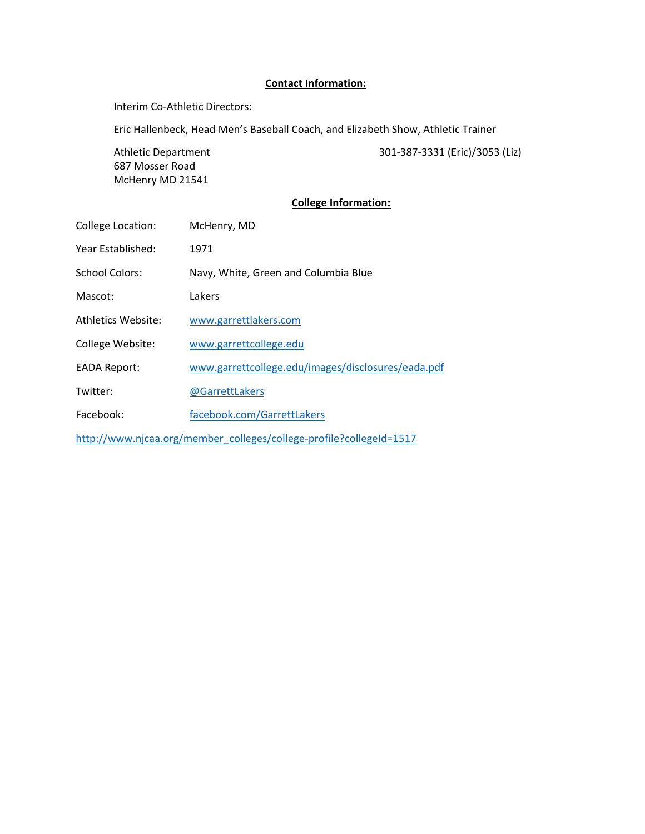### **Contact Information:**

Interim Co-Athletic Directors:

Eric Hallenbeck, Head Men's Baseball Coach, and Elizabeth Show, Athletic Trainer

687 Mosser Road McHenry MD 21541

Athletic Department 301-387-3331 (Eric)/3053 (Liz)

### **College Information:**

| College Location:                                                   | McHenry, MD                                        |  |  |
|---------------------------------------------------------------------|----------------------------------------------------|--|--|
| Year Established:                                                   | 1971                                               |  |  |
| <b>School Colors:</b>                                               | Navy, White, Green and Columbia Blue               |  |  |
| Mascot:                                                             | Lakers                                             |  |  |
| <b>Athletics Website:</b>                                           | www.garrettlakers.com                              |  |  |
| College Website:                                                    | www.garrettcollege.edu                             |  |  |
| <b>EADA Report:</b>                                                 | www.garrettcollege.edu/images/disclosures/eada.pdf |  |  |
| Twitter:                                                            | @GarrettLakers                                     |  |  |
| Facebook:                                                           | facebook.com/GarrettLakers                         |  |  |
| http://www.njcaa.org/member_colleges/college-profile?collegeId=1517 |                                                    |  |  |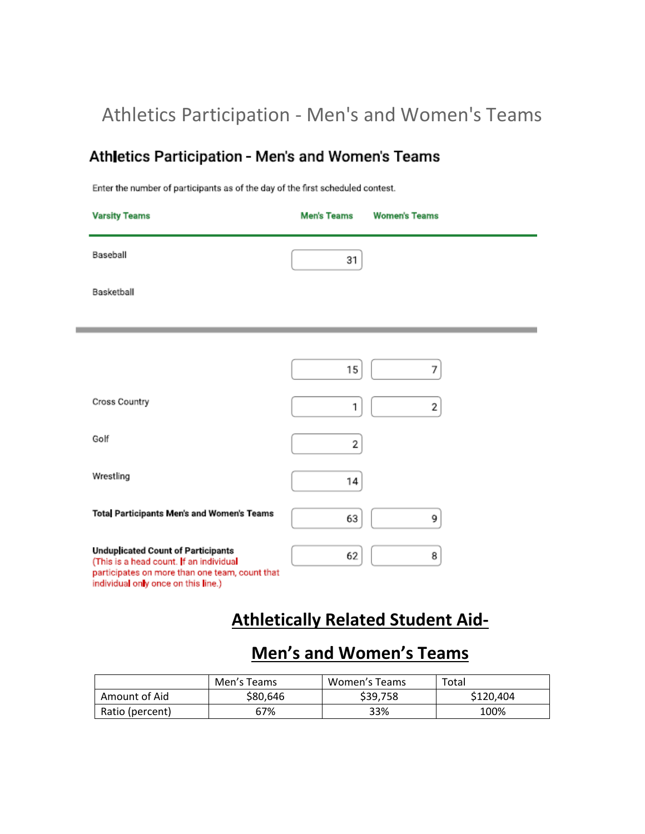## Athletics Participation - Men's and Women's Teams

## Athletics Participation - Men's and Women's Teams

Enter the number of participants as of the day of the first scheduled contest.

| <b>Varsity Teams</b>                                                                                                                                                          | <b>Men's Teams</b> | <b>Women's Teams</b> |
|-------------------------------------------------------------------------------------------------------------------------------------------------------------------------------|--------------------|----------------------|
| Baseball                                                                                                                                                                      | 31                 |                      |
| Basketball                                                                                                                                                                    |                    |                      |
|                                                                                                                                                                               |                    |                      |
|                                                                                                                                                                               | 15                 | 7                    |
| Cross Country                                                                                                                                                                 | 1                  | 2                    |
| Golf                                                                                                                                                                          | 2                  |                      |
| Wrestling                                                                                                                                                                     | 14                 |                      |
| Total Participants Men's and Women's Teams                                                                                                                                    | 63                 | 9                    |
| <b>Unduplicated Count of Participants</b><br>(This is a head count. If an individual<br>participates on more than one team, count that<br>individual only once on this line.) | 62                 | 8                    |

## **Athletically Related Student Aid-**

## **Men's and Women's Teams**

|                 | Men's Teams | Women's Teams | Total     |
|-----------------|-------------|---------------|-----------|
| Amount of Aid   | \$80.646    | \$39,758      | \$120,404 |
| Ratio (percent) | 67%         | 33%           | 100%      |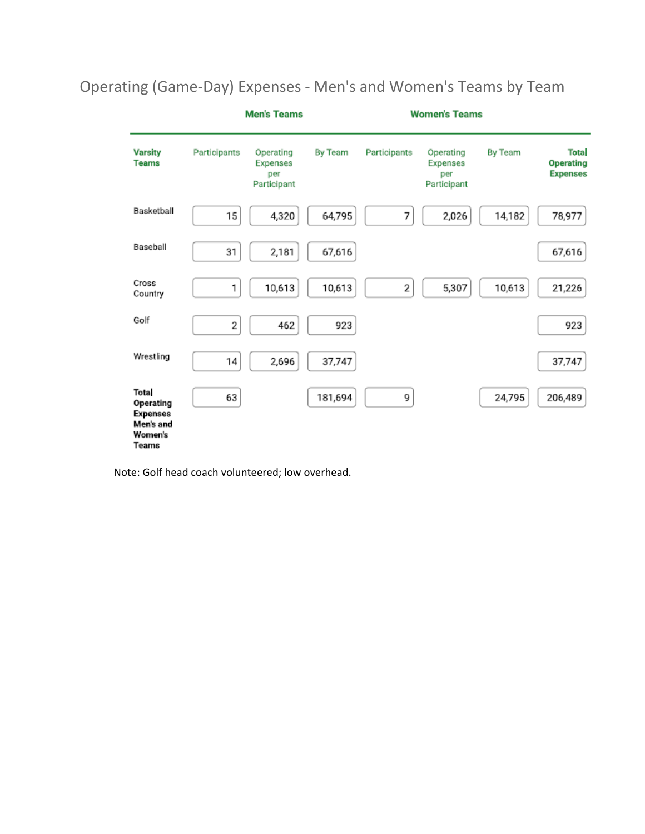#### **Men's Teams Women's Teams Varsity** Participants Operating By Team Participants Operating By Team **Total Operating Teams** Expenses Expenses per per Expenses Participant Participant Basketball 64,795 7 78,977 15 4,320 2,026 14,182 Baseball 31 2,181 67,616 67,616 Cross  $\overline{\mathbf{c}}$ 1 10,613 10,613 5,307 10,613 21,226 Country Golf  $\overline{\mathbf{c}}$ 462 923 923 Wrestling 14 2,696 37,747 37,747 Tota

181,694

9

24,795

206,489

Operating (Game-Day) Expenses - Men's and Women's Teams by Team

Note: Golf head coach volunteered; low overhead.

63

Operating Expenses Men's and Women's Teams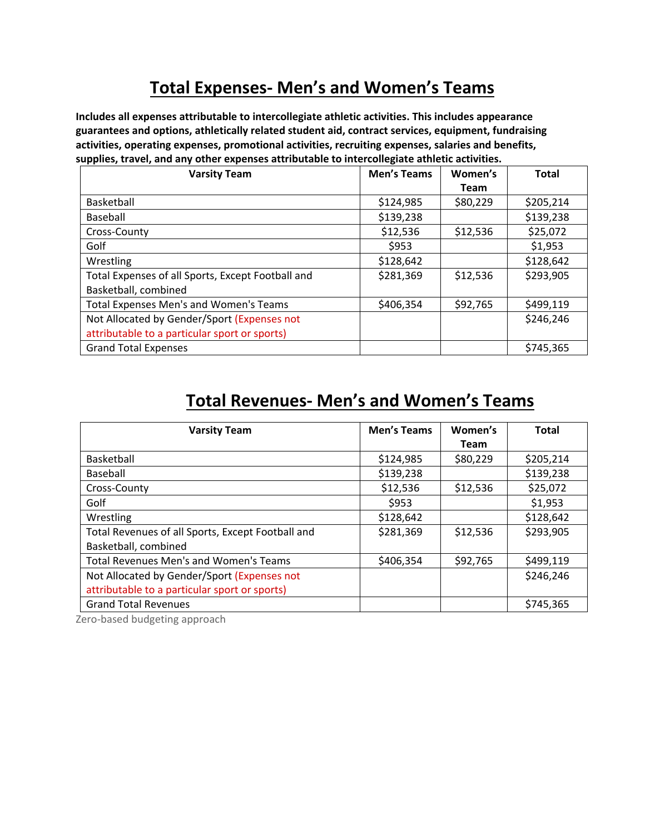## **Total Expenses- Men's and Women's Teams**

**Includes all expenses attributable to intercollegiate athletic activities. This includes appearance guarantees and options, athletically related student aid, contract services, equipment, fundraising activities, operating expenses, promotional activities, recruiting expenses, salaries and benefits, supplies, travel, and any other expenses attributable to intercollegiate athletic activities.**

| <b>Varsity Team</b>                               | <b>Men's Teams</b> | Women's     | <b>Total</b> |
|---------------------------------------------------|--------------------|-------------|--------------|
|                                                   |                    | <b>Team</b> |              |
| Basketball                                        | \$124,985          | \$80,229    | \$205,214    |
| Baseball                                          | \$139,238          |             | \$139,238    |
| Cross-County                                      | \$12,536           | \$12,536    | \$25,072     |
| Golf                                              | \$953              |             | \$1,953      |
| Wrestling                                         | \$128,642          |             | \$128,642    |
| Total Expenses of all Sports, Except Football and | \$281,369          | \$12,536    | \$293,905    |
| Basketball, combined                              |                    |             |              |
| Total Expenses Men's and Women's Teams            | \$406,354          | \$92,765    | \$499,119    |
| Not Allocated by Gender/Sport (Expenses not       |                    |             | \$246,246    |
| attributable to a particular sport or sports)     |                    |             |              |
| <b>Grand Total Expenses</b>                       |                    |             | \$745,365    |

## **Total Revenues- Men's and Women's Teams**

| <b>Varsity Team</b>                               | <b>Men's Teams</b> | Women's     | <b>Total</b> |
|---------------------------------------------------|--------------------|-------------|--------------|
|                                                   |                    | <b>Team</b> |              |
| Basketball                                        | \$124,985          | \$80,229    | \$205,214    |
| Baseball                                          | \$139,238          |             | \$139,238    |
| Cross-County                                      | \$12,536           | \$12,536    | \$25,072     |
| Golf                                              | \$953              |             | \$1,953      |
| Wrestling                                         | \$128,642          |             | \$128,642    |
| Total Revenues of all Sports, Except Football and | \$281,369          | \$12,536    | \$293,905    |
| Basketball, combined                              |                    |             |              |
| Total Revenues Men's and Women's Teams            | \$406,354          | \$92,765    | \$499,119    |
| Not Allocated by Gender/Sport (Expenses not       |                    |             | \$246,246    |
| attributable to a particular sport or sports)     |                    |             |              |
| <b>Grand Total Revenues</b>                       |                    |             | \$745,365    |

Zero-based budgeting approach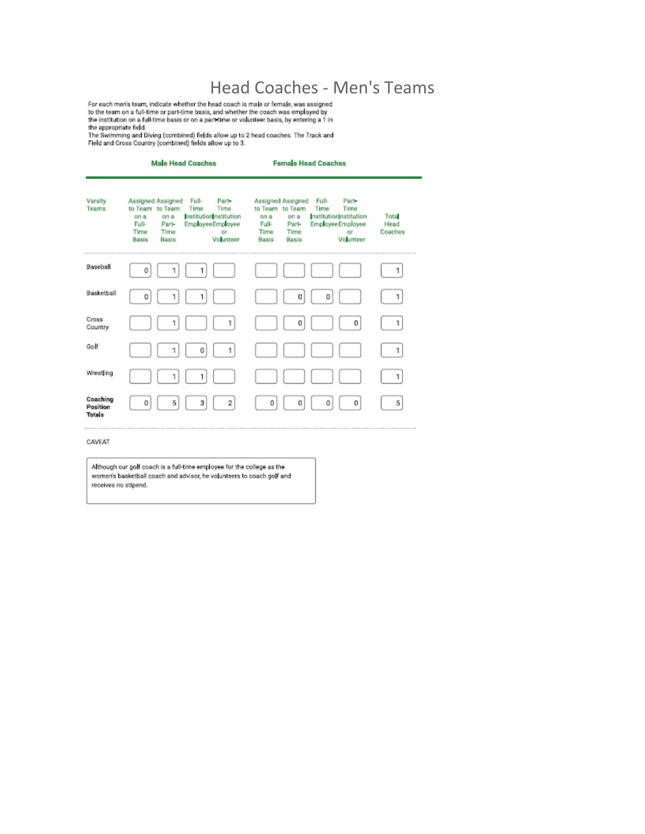$\text{Head Coaches - Men's Team, indicate whether the head coach is male or female, was assigned to the team on a full-time or part-time basis, and whether the coach was employed by the institution on a full-time basis or on a part-time or volume or volume has is, by entering a 1 in$ 

the appropriate field,<br>The Swimming and Diving (combined) fields allow up to 2 head coaches. The Track and<br>Field and Cross Country (combined) fields allow up to 3.

|                                       | <b>Male Head Coaches</b>                                                                                                                                                                                           | <b>Female Head Coaches</b>                                                                                                                                                                                          |                         |
|---------------------------------------|--------------------------------------------------------------------------------------------------------------------------------------------------------------------------------------------------------------------|---------------------------------------------------------------------------------------------------------------------------------------------------------------------------------------------------------------------|-------------------------|
| Varsity<br>Teams                      | Assigned Assigned<br>Full-<br>Part-<br>to Team to Team<br>Time<br>Time<br>nstitution nstitution<br>on a<br>on a<br><b>Full-</b><br>Employee Employee<br>Part-<br>Time<br>Time<br>Of<br>Volunteer<br>Basis<br>Basis | Assigned Assigned<br><b>Full-</b><br>Part-<br>to Team to Team<br>Time<br>Time<br>Institution(nstitution<br>on a<br>on a<br>Employee Employee<br>Full-<br>Part-<br>Time<br>Time<br>or<br>Volunteer<br>Basis<br>Basis | Tota<br>Head<br>Coaches |
| Baseball                              | 0<br>1                                                                                                                                                                                                             |                                                                                                                                                                                                                     | 1                       |
| Basketball                            | 0<br>1                                                                                                                                                                                                             | 0<br>0                                                                                                                                                                                                              | 1                       |
| Cross<br>Country                      | 1<br>1                                                                                                                                                                                                             | 0<br>0                                                                                                                                                                                                              | 1                       |
| Golf                                  | 1<br>1<br>0                                                                                                                                                                                                        |                                                                                                                                                                                                                     | 1                       |
| Wrestling                             | 1                                                                                                                                                                                                                  |                                                                                                                                                                                                                     | 1                       |
| Coaching<br>Position<br><b>Totals</b> | 5<br>3<br>2<br>0                                                                                                                                                                                                   | 0<br>0<br>0<br>0                                                                                                                                                                                                    | 5                       |

#### CAVEAT

Although our golf coach is a full-time employee for the college as the women's basketball coach and advisor, he volunteers to coach golf and receives no stipend.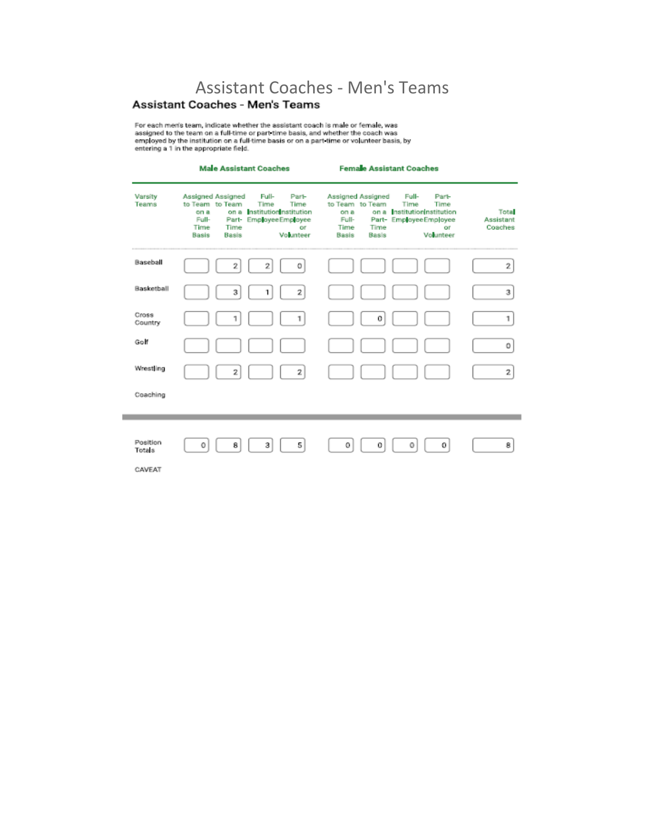# Assistant Coaches - Men's Teams<br>Assistant Coaches - Men's Teams

For each men's team, indicate whether the assistant coach is male or female, was<br>assigned to the team on a full-time or part time basis, and whether the coach was<br>employed by the institution on a full-time basis or on a pa

|                                     | <b>Male Assistant Coaches</b>                                                                                                                                                                                               | <b>Female Assistant Coaches</b>                                                                                                                                                                                              |                                     |
|-------------------------------------|-----------------------------------------------------------------------------------------------------------------------------------------------------------------------------------------------------------------------------|------------------------------------------------------------------------------------------------------------------------------------------------------------------------------------------------------------------------------|-------------------------------------|
| Varsity<br>Teams                    | Assigned Assigned<br><b>Full-</b><br>Part-<br>to Team to Team<br>Time<br>Time<br>on a InstitutionInstitution<br>on a<br>Full-<br>Part- EmployeeEmployee<br>Time<br>Time<br>Of.<br><b>Basis</b><br>Volunteer<br><b>Basis</b> | <b>Assigned Assigned</b><br>Full-<br>Part-<br>to Team to Team<br>Time<br>Time<br>on a Institution nstitution<br>on a<br>Full-<br>Part- Employee Employee<br>Time<br>Time<br>Öf.<br><b>Basis</b><br>Volunteer<br><b>Basis</b> | <b>Tota</b><br>Assistant<br>Coaches |
| Baseball                            | 2<br>2<br>0                                                                                                                                                                                                                 |                                                                                                                                                                                                                              | 2                                   |
| Basketball                          | $\overline{2}$<br>3<br>1                                                                                                                                                                                                    |                                                                                                                                                                                                                              | з                                   |
| Cross<br>Country                    | 1<br>1                                                                                                                                                                                                                      | 0                                                                                                                                                                                                                            | 1                                   |
| Goff                                |                                                                                                                                                                                                                             |                                                                                                                                                                                                                              | 0                                   |
| Wrestling                           | 2<br>$\overline{2}$                                                                                                                                                                                                         |                                                                                                                                                                                                                              | 2                                   |
| Coaching                            |                                                                                                                                                                                                                             |                                                                                                                                                                                                                              |                                     |
| Position<br><b>Totals</b><br>CAVEAT | 5<br>3<br>0<br>8                                                                                                                                                                                                            | 0<br>0<br>o<br>0                                                                                                                                                                                                             | 8                                   |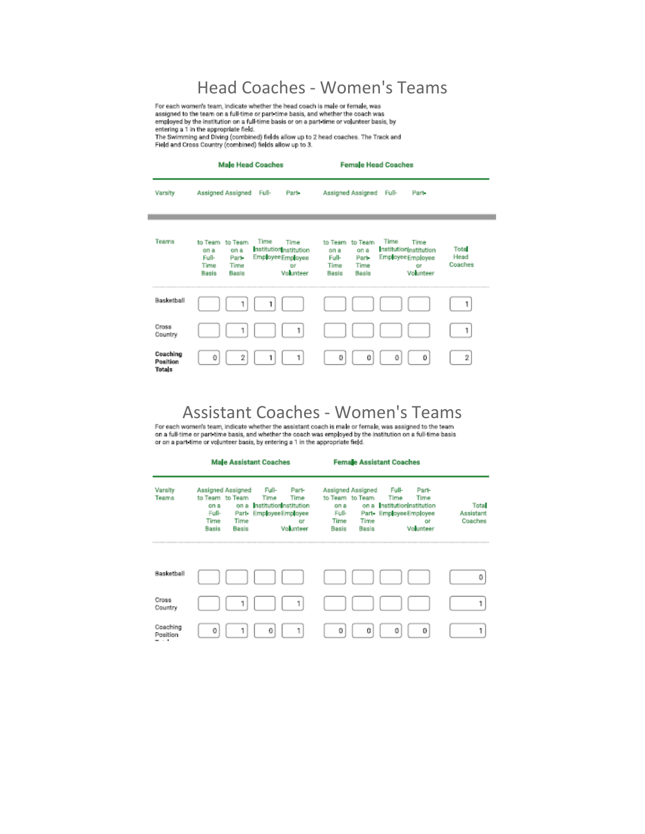## Head Coaches - Women's Teams

For each women's team, indicate whether the head coach is male or female, was<br>assigned to the team on a full-time or part time basis, and whether the coach was employed by the institution on a full-time basis or on a part time or volunteer basis, by

entering a 1 in the appropriate field.<br>The Swimming and Diving (combined) fields allow up to 2 head coaches. The Track and<br>Field and Cross Country (combined) fields allow up to 3.

|                                           | <b>Male Head Coaches</b>                                                                                                                                                            | <b>Female Head Coaches</b>                                                                                                                                                   |                          |
|-------------------------------------------|-------------------------------------------------------------------------------------------------------------------------------------------------------------------------------------|------------------------------------------------------------------------------------------------------------------------------------------------------------------------------|--------------------------|
| Varsity                                   | Assigned Assigned<br>Full-<br>Part-                                                                                                                                                 | Assigned Assigned<br>Full-<br>Part-                                                                                                                                          |                          |
| Teams                                     | Time<br>to Team to Team<br>Time<br>Institution nstitution<br>on a<br>on a<br>Employee Employee<br>Full-<br>Part-<br>Time<br>Time<br>or<br>Volunteer<br><b>Basis</b><br><b>Rasis</b> | Time<br>to Team to Team<br>Time<br>InstitutionInstitution<br>on a<br>on a<br>Employee Employee<br>Full-<br>Part-<br>Time<br>Time<br>or<br>Volunteer<br><b>Basis</b><br>Basis | Total<br>Head<br>Coaches |
| Basketball                                |                                                                                                                                                                                     |                                                                                                                                                                              |                          |
| Cross<br>Country                          | 1                                                                                                                                                                                   |                                                                                                                                                                              | 1                        |
| Coaching<br>Position<br>Tota <sub>s</sub> | 2<br>0<br>1                                                                                                                                                                         | 0<br>0<br>0<br>0                                                                                                                                                             | $\overline{2}$           |

 $ASSISTant$   $Coaches$  -  $Wommers$   $S$   $Tean$   $S$   $Tean$   $S$  for each women's team, indicate whether the assistant coach is male or female, was assigned to the team on a full-time or part time basis, and whether the coach was employed by the

|                             |                                                                                                                 | <b>Male Assistant Coaches</b>                                                                   |                                                                                                       | <b>Female Assistant Coaches</b>                                                                             |                               |
|-----------------------------|-----------------------------------------------------------------------------------------------------------------|-------------------------------------------------------------------------------------------------|-------------------------------------------------------------------------------------------------------|-------------------------------------------------------------------------------------------------------------|-------------------------------|
| Varsity<br>Teams            | Assigned Assigned<br>to Team to Team<br>on a<br>on a<br>Full-<br>Part-<br>Time<br>Time<br><b>Basis</b><br>Basis | Full-<br>Part-<br>Time<br>Time<br>nstitution nstitution<br>Employee Employee<br>or<br>Volunteer | <b>Assigned Assigned</b><br>to Team to Team<br>on a<br>Full-<br>Time<br>Time<br><b>Basis</b><br>Basis | Full-<br>Part-<br>Time<br>Time<br>on a InstitutionInstitution<br>Part- Employee Employee<br>öř<br>Volunteer | Tota.<br>Assistant<br>Coaches |
| Basketball                  |                                                                                                                 |                                                                                                 |                                                                                                       |                                                                                                             | 0                             |
| Cross<br>Country            | 1                                                                                                               | 1                                                                                               |                                                                                                       |                                                                                                             |                               |
| Coaching<br>Position<br>. . | 0                                                                                                               | 0<br>1                                                                                          | 0<br>0                                                                                                | 0<br>0                                                                                                      |                               |